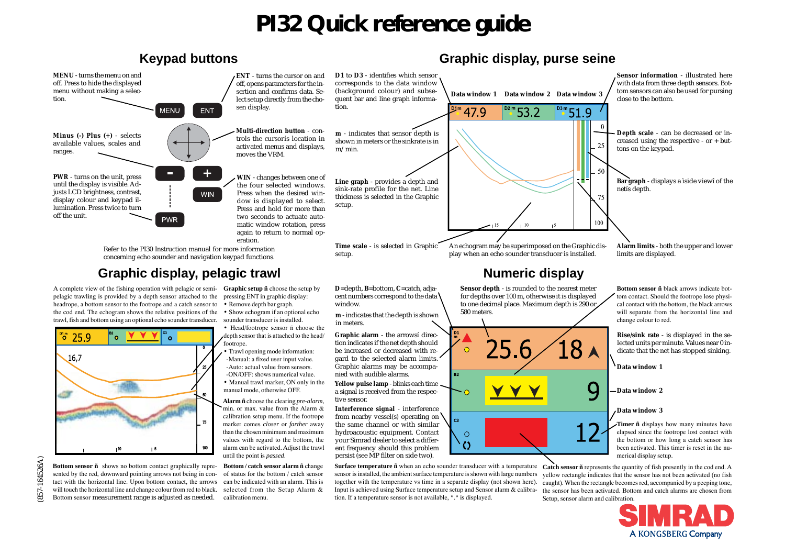# **PI32 Quick reference guide**



(857-164526A)

A KONGSBERG Company